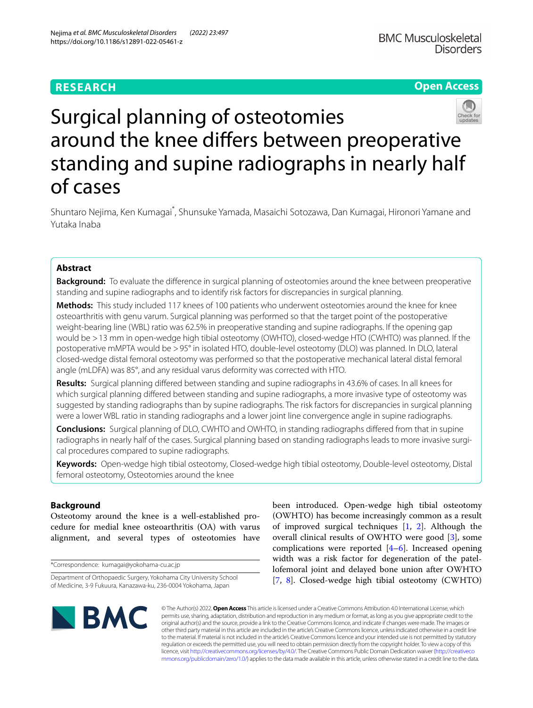# **RESEARCH**

**Open Access**



# Surgical planning of osteotomies around the knee difers between preoperative standing and supine radiographs in nearly half of cases

Shuntaro Nejima, Ken Kumagai<sup>\*</sup>, Shunsuke Yamada, Masaichi Sotozawa, Dan Kumagai, Hironori Yamane and Yutaka Inaba

# **Abstract**

**Background:** To evaluate the diference in surgical planning of osteotomies around the knee between preoperative standing and supine radiographs and to identify risk factors for discrepancies in surgical planning.

**Methods:** This study included 117 knees of 100 patients who underwent osteotomies around the knee for knee osteoarthritis with genu varum. Surgical planning was performed so that the target point of the postoperative weight-bearing line (WBL) ratio was 62.5% in preoperative standing and supine radiographs. If the opening gap would be >13 mm in open-wedge high tibial osteotomy (OWHTO), closed-wedge HTO (CWHTO) was planned. If the postoperative mMPTA would be >95° in isolated HTO, double-level osteotomy (DLO) was planned. In DLO, lateral closed-wedge distal femoral osteotomy was performed so that the postoperative mechanical lateral distal femoral angle (mLDFA) was 85°, and any residual varus deformity was corrected with HTO.

**Results:** Surgical planning difered between standing and supine radiographs in 43.6% of cases. In all knees for which surgical planning difered between standing and supine radiographs, a more invasive type of osteotomy was suggested by standing radiographs than by supine radiographs. The risk factors for discrepancies in surgical planning were a lower WBL ratio in standing radiographs and a lower joint line convergence angle in supine radiographs.

**Conclusions:** Surgical planning of DLO, CWHTO and OWHTO, in standing radiographs difered from that in supine radiographs in nearly half of the cases. Surgical planning based on standing radiographs leads to more invasive surgical procedures compared to supine radiographs.

**Keywords:** Open-wedge high tibial osteotomy, Closed-wedge high tibial osteotomy, Double-level osteotomy, Distal femoral osteotomy, Osteotomies around the knee

# **Background**

Osteotomy around the knee is a well-established procedure for medial knee osteoarthritis (OA) with varus alignment, and several types of osteotomies have

\*Correspondence: kumagai@yokohama-cu.ac.jp

been introduced. Open-wedge high tibial osteotomy (OWHTO) has become increasingly common as a result of improved surgical techniques [\[1](#page-5-0), [2\]](#page-5-1). Although the overall clinical results of OWHTO were good [\[3](#page-5-2)], some complications were reported [[4–](#page-6-0)[6\]](#page-6-1). Increased opening width was a risk factor for degeneration of the patellofemoral joint and delayed bone union after OWHTO [[7,](#page-6-2) [8\]](#page-6-3). Closed-wedge high tibial osteotomy (CWHTO)



© The Author(s) 2022. **Open Access** This article is licensed under a Creative Commons Attribution 4.0 International License, which permits use, sharing, adaptation, distribution and reproduction in any medium or format, as long as you give appropriate credit to the original author(s) and the source, provide a link to the Creative Commons licence, and indicate if changes were made. The images or other third party material in this article are included in the article's Creative Commons licence, unless indicated otherwise in a credit line to the material. If material is not included in the article's Creative Commons licence and your intended use is not permitted by statutory regulation or exceeds the permitted use, you will need to obtain permission directly from the copyright holder. To view a copy of this licence, visit [http://creativecommons.org/licenses/by/4.0/.](http://creativecommons.org/licenses/by/4.0/) The Creative Commons Public Domain Dedication waiver ([http://creativeco](http://creativecommons.org/publicdomain/zero/1.0/) [mmons.org/publicdomain/zero/1.0/](http://creativecommons.org/publicdomain/zero/1.0/)) applies to the data made available in this article, unless otherwise stated in a credit line to the data.

Department of Orthopaedic Surgery, Yokohama City University School of Medicine, 3-9 Fukuura, Kanazawa-ku, 236-0004 Yokohama, Japan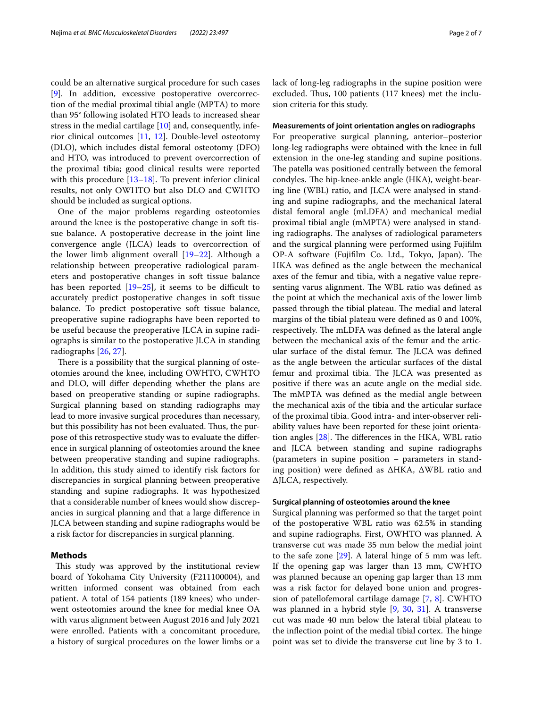could be an alternative surgical procedure for such cases [[9\]](#page-6-4). In addition, excessive postoperative overcorrection of the medial proximal tibial angle (MPTA) to more than 95° following isolated HTO leads to increased shear stress in the medial cartilage [\[10](#page-6-5)] and, consequently, inferior clinical outcomes [\[11,](#page-6-6) [12](#page-6-7)]. Double-level osteotomy (DLO), which includes distal femoral osteotomy (DFO) and HTO, was introduced to prevent overcorrection of the proximal tibia; good clinical results were reported with this procedure [[13–](#page-6-8)[18](#page-6-9)]. To prevent inferior clinical results, not only OWHTO but also DLO and CWHTO should be included as surgical options.

One of the major problems regarding osteotomies around the knee is the postoperative change in soft tissue balance. A postoperative decrease in the joint line convergence angle (JLCA) leads to overcorrection of the lower limb alignment overall [[19–](#page-6-10)[22\]](#page-6-11). Although a relationship between preoperative radiological parameters and postoperative changes in soft tissue balance has been reported  $[19-25]$  $[19-25]$ , it seems to be difficult to accurately predict postoperative changes in soft tissue balance. To predict postoperative soft tissue balance, preoperative supine radiographs have been reported to be useful because the preoperative JLCA in supine radiographs is similar to the postoperative JLCA in standing radiographs [[26](#page-6-13), [27](#page-6-14)].

There is a possibility that the surgical planning of osteotomies around the knee, including OWHTO, CWHTO and DLO, will difer depending whether the plans are based on preoperative standing or supine radiographs. Surgical planning based on standing radiographs may lead to more invasive surgical procedures than necessary, but this possibility has not been evaluated. Thus, the purpose of this retrospective study was to evaluate the diference in surgical planning of osteotomies around the knee between preoperative standing and supine radiographs. In addition, this study aimed to identify risk factors for discrepancies in surgical planning between preoperative standing and supine radiographs. It was hypothesized that a considerable number of knees would show discrepancies in surgical planning and that a large diference in JLCA between standing and supine radiographs would be a risk factor for discrepancies in surgical planning.

# **Methods**

This study was approved by the institutional review board of Yokohama City University (F211100004), and written informed consent was obtained from each patient. A total of 154 patients (189 knees) who underwent osteotomies around the knee for medial knee OA with varus alignment between August 2016 and July 2021 were enrolled. Patients with a concomitant procedure, a history of surgical procedures on the lower limbs or a lack of long-leg radiographs in the supine position were excluded. Thus, 100 patients (117 knees) met the inclusion criteria for this study.

## **Measurements of joint orientation angles on radiographs**

For preoperative surgical planning, anterior–posterior long-leg radiographs were obtained with the knee in full extension in the one-leg standing and supine positions. The patella was positioned centrally between the femoral condyles. The hip-knee-ankle angle (HKA), weight-bearing line (WBL) ratio, and JLCA were analysed in standing and supine radiographs, and the mechanical lateral distal femoral angle (mLDFA) and mechanical medial proximal tibial angle (mMPTA) were analysed in standing radiographs. The analyses of radiological parameters and the surgical planning were performed using Fujiflm OP-A software (Fujifilm Co. Ltd., Tokyo, Japan). The HKA was defned as the angle between the mechanical axes of the femur and tibia, with a negative value representing varus alignment. The WBL ratio was defined as the point at which the mechanical axis of the lower limb passed through the tibial plateau. The medial and lateral margins of the tibial plateau were defned as 0 and 100%, respectively. The mLDFA was defined as the lateral angle between the mechanical axis of the femur and the articular surface of the distal femur. The JLCA was defined as the angle between the articular surfaces of the distal femur and proximal tibia. The JLCA was presented as positive if there was an acute angle on the medial side. The mMPTA was defined as the medial angle between the mechanical axis of the tibia and the articular surface of the proximal tibia. Good intra- and inter-observer reliability values have been reported for these joint orientation angles  $[28]$ . The differences in the HKA, WBL ratio and JLCA between standing and supine radiographs (parameters in supine position – parameters in standing position) were defned as ΔHKA, ΔWBL ratio and ΔJLCA, respectively.

## **Surgical planning of osteotomies around the knee**

Surgical planning was performed so that the target point of the postoperative WBL ratio was 62.5% in standing and supine radiographs. First, OWHTO was planned. A transverse cut was made 35 mm below the medial joint to the safe zone [[29\]](#page-6-16). A lateral hinge of 5 mm was left. If the opening gap was larger than 13 mm, CWHTO was planned because an opening gap larger than 13 mm was a risk factor for delayed bone union and progression of patellofemoral cartilage damage [[7](#page-6-2), [8](#page-6-3)]. CWHTO was planned in a hybrid style [[9,](#page-6-4) [30,](#page-6-17) [31](#page-6-18)]. A transverse cut was made 40 mm below the lateral tibial plateau to the inflection point of the medial tibial cortex. The hinge point was set to divide the transverse cut line by 3 to 1.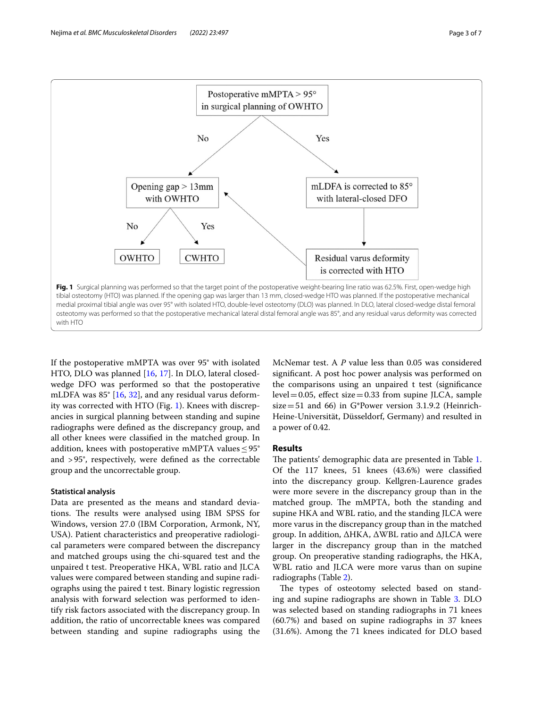

<span id="page-2-0"></span>If the postoperative mMPTA was over 95° with isolated HTO, DLO was planned [\[16](#page-6-19), [17](#page-6-20)]. In DLO, lateral closedwedge DFO was performed so that the postoperative mLDFA was 85° [\[16,](#page-6-19) [32\]](#page-6-21), and any residual varus deformity was corrected with HTO (Fig. [1](#page-2-0)). Knees with discrepancies in surgical planning between standing and supine radiographs were defned as the discrepancy group, and all other knees were classifed in the matched group. In addition, knees with postoperative mMPTA values  $\leq$ 95° and >95°, respectively, were defned as the correctable group and the uncorrectable group.

#### **Statistical analysis**

Data are presented as the means and standard deviations. The results were analysed using IBM SPSS for Windows, version 27.0 (IBM Corporation, Armonk, NY, USA). Patient characteristics and preoperative radiological parameters were compared between the discrepancy and matched groups using the chi-squared test and the unpaired t test. Preoperative HKA, WBL ratio and JLCA values were compared between standing and supine radiographs using the paired t test. Binary logistic regression analysis with forward selection was performed to identify risk factors associated with the discrepancy group. In addition, the ratio of uncorrectable knees was compared between standing and supine radiographs using the

McNemar test. A *P* value less than 0.05 was considered signifcant. A post hoc power analysis was performed on the comparisons using an unpaired t test (signifcance level = 0.05, effect size = 0.33 from supine JLCA, sample size=51 and 66) in G\*Power version 3.1.9.2 (Heinrich-Heine-Universität, Düsseldorf, Germany) and resulted in a power of 0.42.

# **Results**

The patients' demographic data are presented in Table [1](#page-3-0). Of the 117 knees, 51 knees (43.6%) were classifed into the discrepancy group. Kellgren-Laurence grades were more severe in the discrepancy group than in the matched group. The mMPTA, both the standing and supine HKA and WBL ratio, and the standing JLCA were more varus in the discrepancy group than in the matched group. In addition, ΔHKA, ΔWBL ratio and ΔJLCA were larger in the discrepancy group than in the matched group. On preoperative standing radiographs, the HKA, WBL ratio and JLCA were more varus than on supine radiographs (Table [2\)](#page-3-1).

The types of osteotomy selected based on standing and supine radiographs are shown in Table [3](#page-4-0). DLO was selected based on standing radiographs in 71 knees (60.7%) and based on supine radiographs in 37 knees (31.6%). Among the 71 knees indicated for DLO based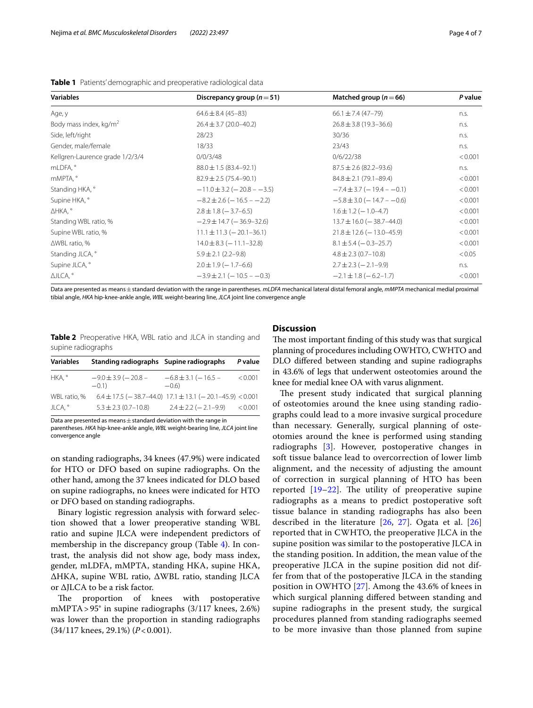| <b>Variables</b>                   | Discrepancy group ( $n = 51$ )    | Matched group ( $n = 66$ )         | P value |  |
|------------------------------------|-----------------------------------|------------------------------------|---------|--|
| Age, y                             | $64.6 \pm 8.4 (45 - 83)$          | $66.1 \pm 7.4 (47 - 79)$           | n.s.    |  |
| Body mass index, kg/m <sup>2</sup> | $26.4 \pm 3.7$ (20.0-40.2)        | $26.8 \pm 3.8$ (19.3-36.6)         | n.s.    |  |
| Side, left/right                   | 28/23                             | 30/36                              | n.s.    |  |
| Gender, male/female                | 18/33                             | 23/43                              | n.s.    |  |
| Kellgren-Laurence grade 1/2/3/4    | 0/0/3/48                          | 0/6/22/38                          | < 0.001 |  |
| mLDFA, °                           | $88.0 \pm 1.5 (83.4 - 92.1)$      | $87.5 \pm 2.6$ (82.2-93.6)         | n.s.    |  |
| mMPTA, °                           | $82.9 \pm 2.5(75.4 - 90.1)$       | $84.8 \pm 2.1 (79.1 - 89.4)$       | < 0.001 |  |
| Standing HKA, °                    | $-11.0 \pm 3.2 (-20.8 - -3.5)$    | $-7.4 \pm 3.7 (-19.4 - -0.1)$      | < 0.001 |  |
| Supine HKA, °                      | $-8.2 \pm 2.6$ ( $-16.5 - -2.2$ ) | $-5.8 \pm 3.0$ ( $-14.7 - -0.6$ )  | < 0.001 |  |
| ∆HKA, °                            | $2.8 \pm 1.8 (-3.7 - 6.5)$        | $1.6 \pm 1.2$ ( $-1.0 - 4.7$ )     | < 0.001 |  |
| Standing WBL ratio, %              | $-2.9 \pm 14.7 (-36.9 - 32.6)$    | $13.7 \pm 16.0$ ( $-38.7 - 44.0$ ) | < 0.001 |  |
| Supine WBL ratio, %                | $11.1 \pm 11.3 (-20.1 - 36.1)$    | $21.8 \pm 12.6 (-13.0 - 45.9)$     | < 0.001 |  |
| $\triangle$ WBL ratio, %           | $14.0 \pm 8.3 (-11.1 - 32.8)$     | $8.1 \pm 5.4 (-0.3 - 25.7)$        | < 0.001 |  |
| Standing JLCA, °                   | $5.9 \pm 2.1$ (2.2-9.8)           | $4.8 \pm 2.3$ (0.7-10.8)           | < 0.05  |  |
| Supine JLCA, °                     | $2.0 \pm 1.9 (-1.7 - 6.6)$        | $2.7 \pm 2.3 (-2.1 - 9.9)$         | n.s.    |  |
| ∆JLCA, °                           | $-3.9 \pm 2.1 (-10.5 - -0.3)$     | $-2.1 \pm 1.8 (-6.2 - 1.7)$        | < 0.001 |  |

<span id="page-3-0"></span>**Table 1** Patients' demographic and preoperative radiological data

Data are presented as means ± standard deviation with the range in parentheses. *mLDFA* mechanical lateral distal femoral angle, *mMPTA* mechanical medial proximal tibial angle, *HKA* hip-knee-ankle angle, *WBL* weight-bearing line, *JLCA* joint line convergence angle

<span id="page-3-1"></span>**Table 2** Preoperative HKA, WBL ratio and JLCA in standing and supine radiographs

| <b>Variables</b> | Standing radiographs Supine radiographs |                                                                  | P value |
|------------------|-----------------------------------------|------------------------------------------------------------------|---------|
| HKA. °           | $-9.0 \pm 3.9 (-20.8 -$<br>$-0.1$       | $-6.8 \pm 3.1 (-16.5 -$<br>$-0.6$                                | < 0.001 |
| WBL ratio, %     |                                         | $6.4 \pm 17.5$ (-38.7-44.0) $17.1 \pm 13.1$ (-20.1-45.9) < 0.001 |         |
| JLCA, °          | $5.3 \pm 2.3$ (0.7-10.8)                | $2.4 \pm 2.2 (-2.1 - 9.9)$                                       | < 0.001 |

Data are presented as means  $\pm$  standard deviation with the range in

parentheses. *HKA* hip-knee-ankle angle, *WBL* weight-bearing line, *JLCA* joint line convergence angle

on standing radiographs, 34 knees (47.9%) were indicated for HTO or DFO based on supine radiographs. On the other hand, among the 37 knees indicated for DLO based on supine radiographs, no knees were indicated for HTO or DFO based on standing radiographs.

Binary logistic regression analysis with forward selection showed that a lower preoperative standing WBL ratio and supine JLCA were independent predictors of membership in the discrepancy group (Table [4\)](#page-4-1). In contrast, the analysis did not show age, body mass index, gender, mLDFA, mMPTA, standing HKA, supine HKA, ΔHKA, supine WBL ratio, ΔWBL ratio, standing JLCA or ΔJLCA to be a risk factor.

The proportion of knees with postoperative mMPTA>95° in supine radiographs (3/117 knees, 2.6%) was lower than the proportion in standing radiographs (34/117 knees, 29.1%) (*P*<0.001).

# **Discussion**

The most important finding of this study was that surgical planning of procedures including OWHTO, CWHTO and DLO difered between standing and supine radiographs in 43.6% of legs that underwent osteotomies around the knee for medial knee OA with varus alignment.

The present study indicated that surgical planning of osteotomies around the knee using standing radiographs could lead to a more invasive surgical procedure than necessary. Generally, surgical planning of osteotomies around the knee is performed using standing radiographs [\[3](#page-5-2)]. However, postoperative changes in soft tissue balance lead to overcorrection of lower limb alignment, and the necessity of adjusting the amount of correction in surgical planning of HTO has been reported  $[19-22]$  $[19-22]$  $[19-22]$ . The utility of preoperative supine radiographs as a means to predict postoperative soft tissue balance in standing radiographs has also been described in the literature [[26,](#page-6-13) [27\]](#page-6-14). Ogata et al. [\[26](#page-6-13)] reported that in CWHTO, the preoperative JLCA in the supine position was similar to the postoperative JLCA in the standing position. In addition, the mean value of the preoperative JLCA in the supine position did not differ from that of the postoperative JLCA in the standing position in OWHTO [\[27](#page-6-14)]. Among the 43.6% of knees in which surgical planning difered between standing and supine radiographs in the present study, the surgical procedures planned from standing radiographs seemed to be more invasive than those planned from supine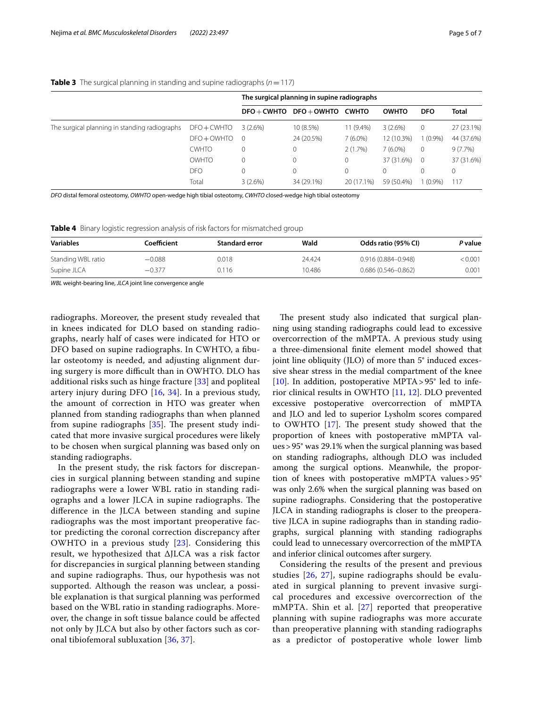|                                               |               | The surgical planning in supine radiographs |                                   |             |              |                |              |
|-----------------------------------------------|---------------|---------------------------------------------|-----------------------------------|-------------|--------------|----------------|--------------|
|                                               |               |                                             | $DFO + CWHTO$ $DFO + OWHTO$ CWHTO |             | <b>OWHTO</b> | <b>DFO</b>     | <b>Total</b> |
| The surgical planning in standing radiographs | $DFO + CWHTO$ | $3(2.6\%)$                                  | 10 (8.5%)                         | $11(9.4\%)$ | 3(2.6%)      | $\circ$        | 27 (23.1%)   |
|                                               | $DFO + OWHTO$ | $\Omega$                                    | 24 (20.5%)                        | $7(6.0\%)$  | 12 (10.3%)   | $(0.9\%)$      | 44 (37.6%)   |
|                                               | <b>CWHTO</b>  | 0                                           | 0                                 | 2(1.7%)     | $7(6.0\%)$   | $\mathbf 0$    | $9(7.7\%)$   |
|                                               | <b>OWHTO</b>  | 0                                           | 0                                 | $\Omega$    | 37 (31.6%)   | $\overline{0}$ | 37 (31.6%)   |
|                                               | DFO           | 0                                           | 0                                 | $\Omega$    | $\Omega$     | 0              |              |
|                                               | Total         | 3(2.6%)                                     | 34 (29.1%)                        | 20 (17.1%)  | 59 (50.4%)   | $(0.9\%)$      | 117          |

## <span id="page-4-0"></span>**Table 3** The surgical planning in standing and supine radiographs ( $n = 117$ )

*DFO* distal femoral osteotomy, *OWHTO* open-wedge high tibial osteotomy, *CWHTO* closed-wedge high tibial osteotomy

<span id="page-4-1"></span>**Table 4** Binary logistic regression analysis of risk factors for mismatched group

| <b>Variables</b>   | Coefficient | <b>Standard error</b> | Wald   | Odds ratio (95% CI)    | <i>P</i> value |
|--------------------|-------------|-----------------------|--------|------------------------|----------------|
| Standing WBL ratio | $-0.088$    | 0.018                 | 24.424 | 0.916 (0.884-0.948)    | < 0.001        |
| Supine JLCA        | $-0.377$    | 0.116                 | 10.486 | $0.686(0.546 - 0.862)$ | 0.001          |

*WBL* weight-bearing line, *JLCA* joint line convergence angle

radiographs. Moreover, the present study revealed that in knees indicated for DLO based on standing radiographs, nearly half of cases were indicated for HTO or DFO based on supine radiographs. In CWHTO, a fbular osteotomy is needed, and adjusting alignment during surgery is more difficult than in OWHTO. DLO has additional risks such as hinge fracture [\[33](#page-6-22)] and popliteal artery injury during DFO [[16,](#page-6-19) [34\]](#page-6-23). In a previous study, the amount of correction in HTO was greater when planned from standing radiographs than when planned from supine radiographs  $[35]$  $[35]$ . The present study indicated that more invasive surgical procedures were likely to be chosen when surgical planning was based only on standing radiographs.

In the present study, the risk factors for discrepancies in surgical planning between standing and supine radiographs were a lower WBL ratio in standing radiographs and a lower JLCA in supine radiographs. The diference in the JLCA between standing and supine radiographs was the most important preoperative factor predicting the coronal correction discrepancy after OWHTO in a previous study [\[23\]](#page-6-25). Considering this result, we hypothesized that ΔJLCA was a risk factor for discrepancies in surgical planning between standing and supine radiographs. Thus, our hypothesis was not supported. Although the reason was unclear, a possible explanation is that surgical planning was performed based on the WBL ratio in standing radiographs. Moreover, the change in soft tissue balance could be afected not only by JLCA but also by other factors such as coronal tibiofemoral subluxation [\[36](#page-6-26), [37](#page-6-27)].

The present study also indicated that surgical planning using standing radiographs could lead to excessive overcorrection of the mMPTA. A previous study using a three-dimensional fnite element model showed that joint line obliquity (JLO) of more than 5° induced excessive shear stress in the medial compartment of the knee [[10\]](#page-6-5). In addition, postoperative MPTA >  $95^{\circ}$  led to inferior clinical results in OWHTO [\[11](#page-6-6), [12\]](#page-6-7). DLO prevented excessive postoperative overcorrection of mMPTA and JLO and led to superior Lysholm scores compared to OWHTO  $[17]$  $[17]$ . The present study showed that the proportion of knees with postoperative mMPTA values>95° was 29.1% when the surgical planning was based on standing radiographs, although DLO was included among the surgical options. Meanwhile, the proportion of knees with postoperative mMPTA values>95° was only 2.6% when the surgical planning was based on supine radiographs. Considering that the postoperative JLCA in standing radiographs is closer to the preoperative JLCA in supine radiographs than in standing radiographs, surgical planning with standing radiographs could lead to unnecessary overcorrection of the mMPTA and inferior clinical outcomes after surgery.

Considering the results of the present and previous studies [[26](#page-6-13), [27\]](#page-6-14), supine radiographs should be evaluated in surgical planning to prevent invasive surgical procedures and excessive overcorrection of the mMPTA. Shin et al. [\[27\]](#page-6-14) reported that preoperative planning with supine radiographs was more accurate than preoperative planning with standing radiographs as a predictor of postoperative whole lower limb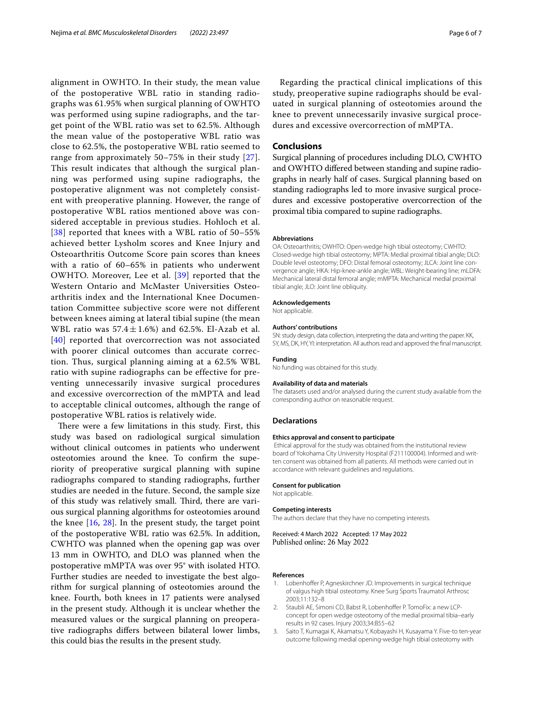alignment in OWHTO. In their study, the mean value of the postoperative WBL ratio in standing radiographs was 61.95% when surgical planning of OWHTO was performed using supine radiographs, and the target point of the WBL ratio was set to 62.5%. Although the mean value of the postoperative WBL ratio was close to 62.5%, the postoperative WBL ratio seemed to range from approximately 50–75% in their study [[27\]](#page-6-14). This result indicates that although the surgical planning was performed using supine radiographs, the postoperative alignment was not completely consistent with preoperative planning. However, the range of postoperative WBL ratios mentioned above was considered acceptable in previous studies. Hohloch et al. [[38](#page-6-28)] reported that knees with a WBL ratio of 50–55% achieved better Lysholm scores and Knee Injury and Osteoarthritis Outcome Score pain scores than knees with a ratio of 60–65% in patients who underwent OWHTO. Moreover, Lee et al. [[39](#page-6-29)] reported that the Western Ontario and McMaster Universities Osteoarthritis index and the International Knee Documentation Committee subjective score were not different between knees aiming at lateral tibial supine (the mean WBL ratio was  $57.4 \pm 1.6\%$  and 62.5%. El-Azab et al. [[40](#page-6-30)] reported that overcorrection was not associated with poorer clinical outcomes than accurate correction. Thus, surgical planning aiming at a 62.5% WBL ratio with supine radiographs can be effective for preventing unnecessarily invasive surgical procedures and excessive overcorrection of the mMPTA and lead to acceptable clinical outcomes, although the range of postoperative WBL ratios is relatively wide.

There were a few limitations in this study. First, this study was based on radiological surgical simulation without clinical outcomes in patients who underwent osteotomies around the knee. To confrm the superiority of preoperative surgical planning with supine radiographs compared to standing radiographs, further studies are needed in the future. Second, the sample size of this study was relatively small. Third, there are various surgical planning algorithms for osteotomies around the knee  $[16, 28]$  $[16, 28]$  $[16, 28]$  $[16, 28]$  $[16, 28]$ . In the present study, the target point of the postoperative WBL ratio was 62.5%. In addition, CWHTO was planned when the opening gap was over 13 mm in OWHTO, and DLO was planned when the postoperative mMPTA was over 95° with isolated HTO. Further studies are needed to investigate the best algorithm for surgical planning of osteotomies around the knee. Fourth, both knees in 17 patients were analysed in the present study. Although it is unclear whether the measured values or the surgical planning on preoperative radiographs difers between bilateral lower limbs, this could bias the results in the present study.

Regarding the practical clinical implications of this study, preoperative supine radiographs should be evaluated in surgical planning of osteotomies around the knee to prevent unnecessarily invasive surgical procedures and excessive overcorrection of mMPTA.

# **Conclusions**

Surgical planning of procedures including DLO, CWHTO and OWHTO difered between standing and supine radiographs in nearly half of cases. Surgical planning based on standing radiographs led to more invasive surgical procedures and excessive postoperative overcorrection of the proximal tibia compared to supine radiographs.

## **Abbreviations**

OA: Osteoarthritis; OWHTO: Open-wedge high tibial osteotomy; CWHTO: Closed-wedge high tibial osteotomy; MPTA: Medial proximal tibial angle; DLO: Double level osteotomy; DFO: Distal femoral osteotomy; JLCA: Joint line convergence angle; HKA: Hip-knee-ankle angle; WBL: Weight-bearing line; mLDFA: Mechanical lateral distal femoral angle; mMPTA: Mechanical medial proximal tibial angle; JLO: Joint line obliquity.

#### **Acknowledgements**

Not applicable.

#### **Authors' contributions**

SN: study design, data collection, interpreting the data and writing the paper. KK, SY, MS, DK, HY, YI: interpretation. All authors read and approved the fnal manuscript.

#### **Funding**

No funding was obtained for this study.

#### **Availability of data and materials**

The datasets used and/or analysed during the current study available from the corresponding author on reasonable request.

#### **Declarations**

#### **Ethics approval and consent to participate**

 Ethical approval for the study was obtained from the institutional review board of Yokohama City University Hospital (F211100004). Informed and written consent was obtained from all patients. All methods were carried out in accordance with relevant guidelines and regulations.

#### **Consent for publication**

Not applicable.

#### **Competing interests**

The authors declare that they have no competing interests.

Received: 4 March 2022 Accepted: 17 May 2022 Published online: 26 May 2022

#### **References**

- <span id="page-5-0"></span>1. Lobenhoffer P, Agneskirchner JD. Improvements in surgical technique of valgus high tibial osteotomy. Knee Surg Sports Traumatol Arthrosc 2003;11:132–8
- <span id="page-5-1"></span>2. Staubli AE, Simoni CD, Babst R, Lobenhoffer P. TomoFix: a new LCPconcept for open wedge osteotomy of the medial proximal tibia–early results in 92 cases. Injury 2003;34:B55–62
- <span id="page-5-2"></span>3. Saito T, Kumagai K, Akamatsu Y, Kobayashi H, Kusayama Y. Five-to ten-year outcome following medial opening-wedge high tibial osteotomy with